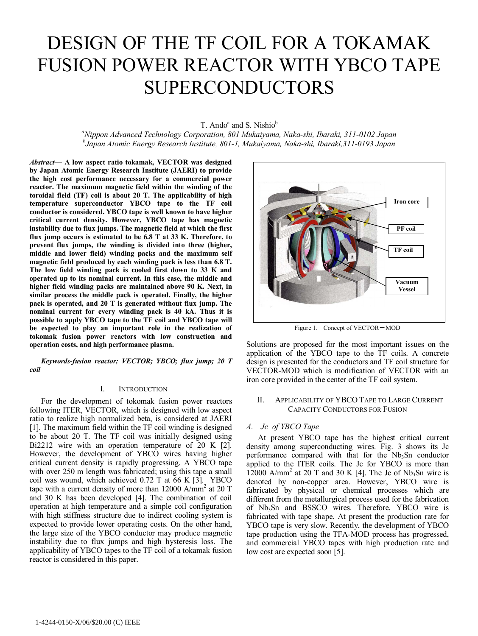# DESIGN OF THE TF COIL FOR A TOKAMAK FUSION POWER REACTOR WITH YBCO TAPE SUPERCONDUCTORS

T. Ando<sup>a</sup> and S. Nishio<sup>b</sup>

*a Nippon Advanced Technology Corporation, 801 Mukaiyama, Naka-shi, Ibaraki, 311-0102 Japan b Japan Atomic Energy Research Institute, 801-1, Mukaiyama, Naka-shi, Ibaraki,311-0193 Japan* 

*Abstract***— A low aspect ratio tokamak, VECTOR was designed by Japan Atomic Energy Research Institute (JAERI) to provide the high cost performance necessary for a commercial power reactor. The maximum magnetic field within the winding of the toroidal field (TF) coil is about 20 T. The applicability of high temperature superconductor YBCO tape to the TF coil conductor is considered. YBCO tape is well known to have higher critical current density. However, YBCO tape has magnetic instability due to flux jumps. The magnetic field at which the first flux jump occurs is estimated to be 6.8 T at 33 K. Therefore, to prevent flux jumps, the winding is divided into three (higher, middle and lower field) winding packs and the maximum self magnetic field produced by each winding pack is less than 6.8 T. The low field winding pack is cooled first down to 33 K and operated up to its nominal current. In this case, the middle and higher field winding packs are maintained above 90 K. Next, in similar process the middle pack is operated. Finally, the higher pack is operated, and 20 T is generated without flux jump. The nominal current for every winding pack is 40 kA. Thus it is possible to apply YBCO tape to the TF coil and YBCO tape will be expected to play an important role in the realization of tokomak fusion power reactors with low construction and operation costs, and high performance plasma.** 

*Keywords-fusion reactor; VECTOR; YBCO; flux jump; 20 T coil* 

## I. INTRODUCTION

For the development of tokomak fusion power reactors following ITER, VECTOR, which is designed with low aspect ratio to realize high normalized beta, is considered at JAERI [1]. The maximum field within the TF coil winding is designed to be about 20 T. The TF coil was initially designed using Bi2212 wire with an operation temperature of 20 K [2]. However, the development of YBCO wires having higher critical current density is rapidly progressing. A YBCO tape with over 250 m length was fabricated; using this tape a small coil was wound, which achieved 0.72 T at 66 K [3]. YBCO tape with a current density of more than  $12000$  A/mm<sup>2</sup> at 20 T and 30 K has been developed [4]. The combination of coil operation at high temperature and a simple coil configuration with high stiffness structure due to indirect cooling system is expected to provide lower operating costs. On the other hand, the large size of the YBCO conductor may produce magnetic instability due to flux jumps and high hysteresis loss. The applicability of YBCO tapes to the TF coil of a tokamak fusion reactor is considered in this paper.



Figure 1. Concept of VECTOR-MOD

Solutions are proposed for the most important issues on the application of the YBCO tape to the TF coils. A concrete design is presented for the conductors and TF coil structure for VECTOR-MOD which is modification of VECTOR with an iron core provided in the center of the TF coil system.

## II. APPLICABILITY OF YBCO TAPE TO LARGE CURRENT CAPACITY CONDUCTORS FOR FUSION

#### *A. Jc of YBCO Tape*

At present YBCO tape has the highest critical current density among superconducting wires. Fig. 3 shows its Jc performance compared with that for the  $Nb<sub>3</sub>Sn$  conductor applied to the ITER coils. The Jc for YBCO is more than  $12000$  A/mm<sup>2</sup> at 20 T and 30 K [4]. The Jc of Nb<sub>3</sub>Sn wire is denoted by non-copper area. However, YBCO wire is fabricated by physical or chemical processes which are different from the metallurgical process used for the fabrication of Nb3Sn and BSSCO wires. Therefore, YBCO wire is fabricated with tape shape. At present the production rate for YBCO tape is very slow. Recently, the development of YBCO tape production using the TFA-MOD process has progressed, and commercial YBCO tapes with high production rate and low cost are expected soon [5].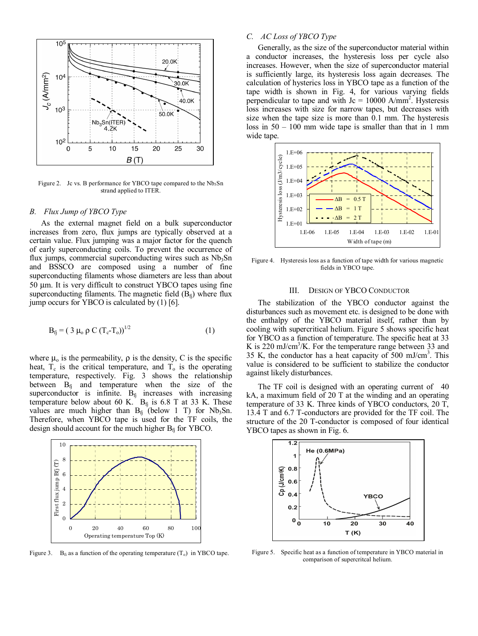

Figure 2. Jc vs. B performance for YBCO tape compared to the  $Nb<sub>3</sub>Sn$ strand applied to ITER.

### *B. Flux Jump of YBCO Type*

As the external magnet field on a bulk superconductor increases from zero, flux jumps are typically observed at a certain value. Flux jumping was a major factor for the quench of early superconducting coils. To prevent the occurrence of flux jumps, commercial superconducting wires such as  $Nb<sub>3</sub>Sn$ and BSSCO are composed using a number of fine superconducting filaments whose diameters are less than about 50 µm. It is very difficult to construct YBCO tapes using fine superconducting filaments. The magnetic field  $(B<sub>f</sub>)$  where flux jump occurs for YBCO is calculated by (1) [6].

$$
B_{fj} = (3 \mu_0 \rho C (T_c - T_o))^{1/2}
$$
 (1)

where  $\mu_0$  is the permeability,  $\rho$  is the density, C is the specific heat,  $T_c$  is the critical temperature, and  $T_o$  is the operating temperature, respectively. Fig. 3 shows the relationship between  $B_{fj}$  and temperature when the size of the superconductor is infinite.  $B_{fj}$  increases with increasing temperature below about 60 K.  $B_{f_i}$  is 6.8 T at 33 K. These values are much higher than  $B_{fj}$  (below 1 T) for Nb<sub>3</sub>Sn. Therefore, when YBCO tape is used for the TF coils, the design should account for the much higher  $B<sub>f</sub>$  for YBCO.



Figure 3. B<sub>fi</sub> as a function of the operating temperature  $(T_0)$  in YBCO tape.

## *C. AC Loss of YBCO Type*

Generally, as the size of the superconductor material within a conductor increases, the hysteresis loss per cycle also increases. However, when the size of superconductor material is sufficiently large, its hysteresis loss again decreases. The calculation of hysterics loss in YBCO tape as a function of the tape width is shown in Fig. 4, for various varying fields perpendicular to tape and with  $Jc = 10000$  A/mm<sup>2</sup>. Hysteresis loss increases with size for narrow tapes, but decreases with size when the tape size is more than 0.1 mm. The hysteresis loss in  $50 - 100$  mm wide tape is smaller than that in 1 mm wide tape.



Figure 4. Hysteresis loss as a function of tape width for various magnetic fields in YBCO tape.

#### III. DESIGN OF YBCO CONDUCTOR

The stabilization of the YBCO conductor against the disturbances such as movement etc. is designed to be done with the enthalpy of the YBCO material itself, rather than by cooling with supercritical helium. Figure 5 shows specific heat for YBCO as a function of temperature. The specific heat at 33 K is  $220 \text{ mJ/cm}^3$ /K. For the temperature range between 33 and 35 K, the conductor has a heat capacity of  $500 \text{ mJ/cm}^3$ . This value is considered to be sufficient to stabilize the conductor against likely disturbances.

The TF coil is designed with an operating current of 40 kA, a maximum field of 20 T at the winding and an operating temperature of 33 K. Three kinds of YBCO conductors, 20 T, 13.4 T and 6.7 T-conductors are provided for the TF coil. The structure of the 20 T-conductor is composed of four identical YBCO tapes as shown in Fig. 6.



Figure 5. Specific heat as a function of temperature in YBCO material in comparison of supercritcal helium.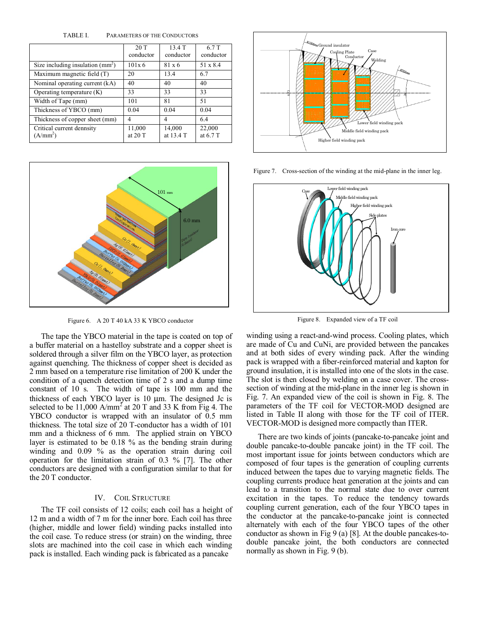TABLE I. PARAMETERS OF THE CONDUCTORS

|                                                   | 20T<br>conductor  | 13.4 T<br>conductor | 6.7 T<br>conductor |
|---------------------------------------------------|-------------------|---------------------|--------------------|
| Size including insulation $(mm2)$                 | 101x6             | $81 \times 6$       | 51 x 8.4           |
| $\overline{\text{Maximum magnetic field}}$ (T)    | 20                | 13.4                | 6.7                |
| Nominal operating current (kA)                    | 40                | 40                  | 40                 |
| Operating temperature $(K)$                       | 33                | 33                  | 33                 |
| Width of Tape (mm)                                | 101               | 81                  | 51                 |
| Thickness of YBCO (mm)                            | 0.04              | 0.04                | 0.04               |
| Thickness of copper sheet (mm)                    | 4                 | 4                   | 6.4                |
| Critical current dennsity<br>(A/mm <sup>2</sup> ) | 11,000<br>at 20 T | 14,000<br>at 13.4 T | 22,000<br>at 6.7 T |



Figure 6. A 20 T 40 kA 33 K YBCO conductor

The tape the YBCO material in the tape is coated on top of a buffer material on a hastelloy substrate and a copper sheet is soldered through a silver film on the YBCO layer, as protection against quenching. The thickness of copper sheet is decided as 2 mm based on a temperature rise limitation of 200 K under the condition of a quench detection time of 2 s and a dump time constant of 10 s. The width of tape is 100 mm and the thickness of each YBCO layer is 10 µm. The designed Jc is selected to be 11,000 A/mm<sup>2</sup> at 20 T and 33 K from Fig 4. The YBCO conductor is wrapped with an insulator of 0.5 mm thickness. The total size of 20 T-conductor has a width of 101 mm and a thickness of 6 mm. The applied strain on YBCO layer is estimated to be 0.18 % as the bending strain during winding and 0.09 % as the operation strain during coil operation for the limitation strain of 0.3 % [7]. The other conductors are designed with a configuration similar to that for the 20 T conductor.

## IV. COIL STRUCTURE

The TF coil consists of 12 coils; each coil has a height of 12 m and a width of 7 m for the inner bore. Each coil has three (higher, middle and lower field) winding packs installed into the coil case. To reduce stress (or strain) on the winding, three slots are machined into the coil case in which each winding pack is installed. Each winding pack is fabricated as a pancake



Figure 7. Cross-section of the winding at the mid-plane in the inner leg.



Figure 8. Expanded view of a TF coil

winding using a react-and-wind process. Cooling plates, which are made of Cu and CuNi, are provided between the pancakes and at both sides of every winding pack. After the winding pack is wrapped with a fiber-reinforced material and kapton for ground insulation, it is installed into one of the slots in the case. The slot is then closed by welding on a case cover. The crosssection of winding at the mid-plane in the inner leg is shown in Fig. 7. An expanded view of the coil is shown in Fig. 8. The parameters of the TF coil for VECTOR-MOD designed are listed in Table II along with those for the TF coil of ITER. VECTOR-MOD is designed more compactly than ITER.

There are two kinds of joints (pancake-to-pancake joint and double pancake-to-double pancake joint) in the TF coil. The most important issue for joints between conductors which are composed of four tapes is the generation of coupling currents induced between the tapes due to varying magnetic fields. The coupling currents produce heat generation at the joints and can lead to a transition to the normal state due to over current excitation in the tapes. To reduce the tendency towards coupling current generation, each of the four YBCO tapes in the conductor at the pancake-to-pancake joint is connected alternately with each of the four YBCO tapes of the other conductor as shown in Fig 9 (a) [8]. At the double pancakes-todouble pancake joint, the both conductors are connected normally as shown in Fig. 9 (b).